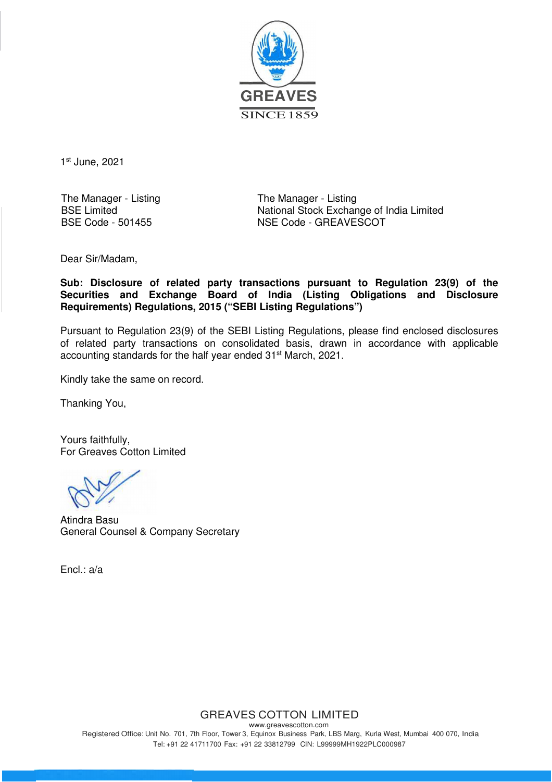

1 st June, 2021

The Manager - Listing BSE Limited BSE Code - 501455

The Manager - Listing National Stock Exchange of India Limited NSE Code - GREAVESCOT

Dear Sir/Madam,

**Sub: Disclosure of related party transactions pursuant to Regulation 23(9) of the Securities and Exchange Board of India (Listing Obligations and Disclosure Requirements) Regulations, 2015 ("SEBI Listing Regulations")**

Pursuant to Regulation 23(9) of the SEBI Listing Regulations, please find enclosed disclosures of related party transactions on consolidated basis, drawn in accordance with applicable accounting standards for the half year ended 31<sup>st</sup> March, 2021.

Kindly take the same on record.

Thanking You,

Yours faithfully, For Greaves Cotton Limited

Atindra Basu General Counsel & Company Secretary

Encl.: a/a

GREAVES COTTON LIMITED

www.greavescotton.com Registered Office: Unit No. 701, 7th Floor, Tower 3, Equinox Business Park, LBS Marg, Kurla West, Mumbai 400 070, India Tel: +91 22 41711700 Fax: +91 22 33812799 CIN: L99999MH1922PLC000987